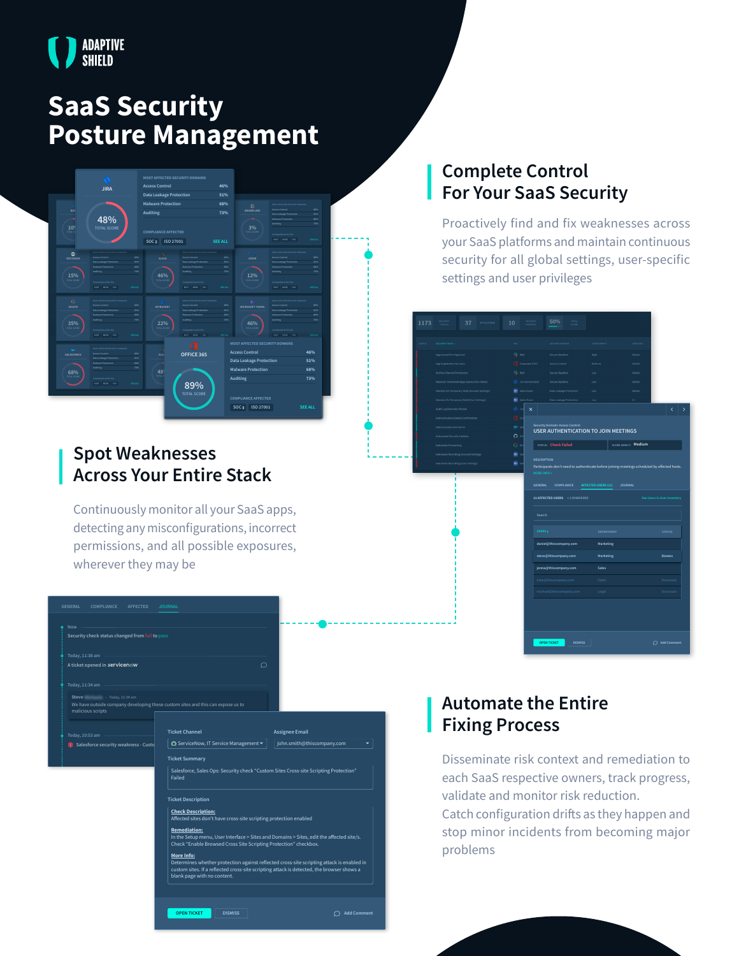

# **SaaS Security Posture Management**



### **Spot Weaknesses Across Your Entire Stack**

Continuously monitor all your SaaS apps, detecting any misconfigurations, incorrect permissions, and all possible exposures, wherever they may be

| <b>GENERAL</b>  | COMPLIANCE                                      | AFFECTED | <b>JOURNAL</b>                                                                                                                                                                      |                                                                                           |  |
|-----------------|-------------------------------------------------|----------|-------------------------------------------------------------------------------------------------------------------------------------------------------------------------------------|-------------------------------------------------------------------------------------------|--|
|                 |                                                 |          |                                                                                                                                                                                     |                                                                                           |  |
| Now             |                                                 |          |                                                                                                                                                                                     |                                                                                           |  |
|                 | Security check status changed from fail to pass |          |                                                                                                                                                                                     |                                                                                           |  |
| Today, 11:38 am |                                                 |          |                                                                                                                                                                                     |                                                                                           |  |
|                 | A ticket opened in servicenow                   |          | ∩                                                                                                                                                                                   |                                                                                           |  |
| Today, 11:34 am |                                                 |          |                                                                                                                                                                                     |                                                                                           |  |
| Steve <b>19</b> | $\cdot$ Today, 11:34 am<br>malicious scripts    |          | We have outside company developing these custom sites and this can expose us to                                                                                                     |                                                                                           |  |
|                 |                                                 |          |                                                                                                                                                                                     |                                                                                           |  |
| Today, 10:53 am |                                                 |          | <b>Ticket Channel</b>                                                                                                                                                               | <b>Assignee Email</b>                                                                     |  |
|                 | Salesforce security weakness - Custo            |          | ○ ServiceNow, IT Service Management                                                                                                                                                 | john.smith@thiscompany.com                                                                |  |
|                 |                                                 |          | <b>Ticket Summary</b>                                                                                                                                                               |                                                                                           |  |
|                 |                                                 |          | Salesforce, Sales Ops: Security check "Custom Sites Cross-site Scripting Protection"<br>Failed                                                                                      |                                                                                           |  |
|                 |                                                 |          | <b>Ticket Description</b>                                                                                                                                                           |                                                                                           |  |
|                 |                                                 |          | <b>Check Description:</b><br>Affected sites don't have cross-site scripting protection enabled                                                                                      |                                                                                           |  |
|                 |                                                 |          | <b>Remediation:</b><br>In the Setup menu, User Interface > Sites and Domains > Sites, edit the affected site/s.<br>Check "Enable Browsed Cross Site Scripting Protection" checkbox. |                                                                                           |  |
|                 |                                                 |          | More Info:<br>custom sites. If a reflected cross-site scripting attack is detected, the browser shows a<br>blank page with no content.                                              | Determines whether protection against reflected cross-site scripting attack is enabled in |  |
|                 |                                                 |          | <b>OPEN TICKET</b><br><b>DISMISS</b>                                                                                                                                                | <b>Add Comment</b>                                                                        |  |
|                 |                                                 |          |                                                                                                                                                                                     |                                                                                           |  |

### **Complete Control For Your SaaS Security**

Proactively find and fix weaknesses across your SaaS platforms and maintain continuous security for all global settings, user-specific settings and user privileges

# **COMPLIANCE STATUS: SCORE IMPACT: Medium** Participants don't need to authenticate before joining meetings scheduled by affected hosts. **USER AUTHENTICATION TO JOIN MEETINGS DESCRIPTION AFFECTED USERS (11) JOURNAL OPEN TICKET DISMISS Add Comment 11 AFFECTED USERS + 2 DISMISSED See Users in User Inventory daniel@thiscompany.com Marketing jenna@thiscompany.com Sales steve@thiscompany.com Marketing Dismiss**

### **Automate the Entire Fixing Process**

Disseminate risk context and remediation to each SaaS respective owners, track progress, validate and monitor risk reduction.

Catch configuration drifts as they happen and stop minor incidents from becoming major problems